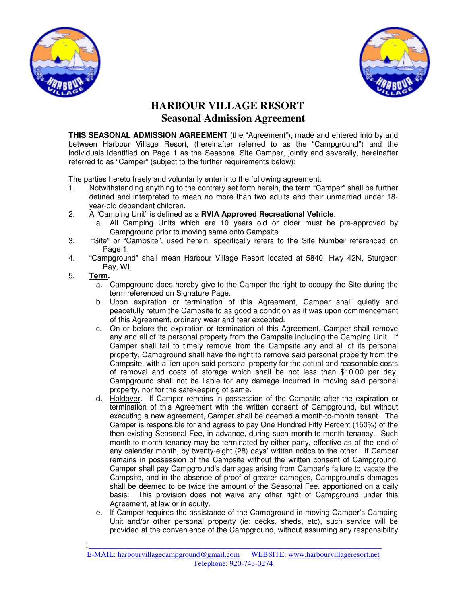



# **HARBOUR VILLAGE RESORT Seasonal Admission Agreement**

**THIS SEASONAL ADMISSION AGREEMENT** (the "Agreement"), made and entered into by and between Harbour Village Resort, (hereinafter referred to as the "Campground") and the individuals identified on Page 1 as the Seasonal Site Camper, jointly and severally, hereinafter referred to as "Camper" (subject to the further requirements below);

The parties hereto freely and voluntarily enter into the following agreement:<br>1. Notwithstanding anything to the contrary set forth herein, the term "Ca

- 1. Notwithstanding anything to the contrary set forth herein, the term "Camper" shall be further defined and interpreted to mean no more than two adults and their unmarried under 18 year-old dependent children.
- 2. A "Camping Unit" is defined as a **RVIA Approved Recreational Vehicle**.
	- a. All Camping Units which are 10 years old or older must be pre-approved by Campground prior to moving same onto Campsite.
- 3. "Site" or "Campsite", used herein, specifically refers to the Site Number referenced on Page 1.
- 4. "Campground" shall mean Harbour Village Resort located at 5840, Hwy 42N, Sturgeon Bay, WI.
- 5. **Term.**
	- a. Campground does hereby give to the Camper the right to occupy the Site during the term referenced on Signature Page.
	- b. Upon expiration or termination of this Agreement, Camper shall quietly and peacefully return the Campsite to as good a condition as it was upon commencement of this Agreement, ordinary wear and tear excepted.
	- c. On or before the expiration or termination of this Agreement, Camper shall remove any and all of its personal property from the Campsite including the Camping Unit. If Camper shall fail to timely remove from the Campsite any and all of its personal property, Campground shall have the right to remove said personal property from the Campsite, with a lien upon said personal property for the actual and reasonable costs of removal and costs of storage which shall be not less than \$10.00 per day. Campground shall not be liable for any damage incurred in moving said personal property, nor for the safekeeping of same.
	- d. Holdover. If Camper remains in possession of the Campsite after the expiration or termination of this Agreement with the written consent of Campground, but without executing a new agreement, Camper shall be deemed a month-to-month tenant. The Camper is responsible for and agrees to pay One Hundred Fifty Percent (150%) of the then existing Seasonal Fee, in advance, during such month-to-month tenancy. Such month-to-month tenancy may be terminated by either party, effective as of the end of any calendar month, by twenty-eight (28) days' written notice to the other. If Camper remains in possession of the Campsite without the written consent of Campground, Camper shall pay Campground's damages arising from Camper's failure to vacate the Campsite, and in the absence of proof of greater damages, Campground's damages shall be deemed to be twice the amount of the Seasonal Fee, apportioned on a daily basis. This provision does not waive any other right of Campground under this Agreement, at law or in equity.
	- e. If Camper requires the assistance of the Campground in moving Camper's Camping Unit and/or other personal property (ie: decks, sheds, etc), such service will be provided at the convenience of the Campground, without assuming any responsibility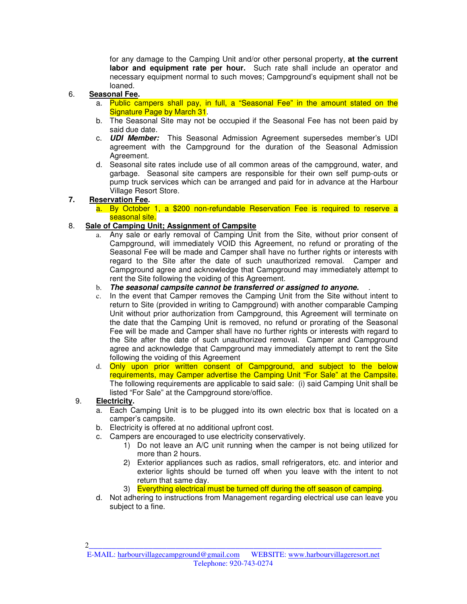for any damage to the Camping Unit and/or other personal property, **at the current labor and equipment rate per hour.** Such rate shall include an operator and necessary equipment normal to such moves; Campground's equipment shall not be loaned.

#### 6. **Seasonal Fee.**

- a. Public campers shall pay, in full, a "Seasonal Fee" in the amount stated on the Signature Page by March 31.
- b. The Seasonal Site may not be occupied if the Seasonal Fee has not been paid by said due date.
- c. *UDI Member:* This Seasonal Admission Agreement supersedes member's UDI agreement with the Campground for the duration of the Seasonal Admission Agreement.
- d. Seasonal site rates include use of all common areas of the campground, water, and garbage. Seasonal site campers are responsible for their own self pump-outs or pump truck services which can be arranged and paid for in advance at the Harbour Village Resort Store.

#### **7. Reservation Fee.**

a. By October 1, a \$200 non-refundable Reservation Fee is required to reserve a seasonal site.

#### 8. **Sale of Camping Unit; Assignment of Campsite**

- a. Any sale or early removal of Camping Unit from the Site, without prior consent of Campground, will immediately VOID this Agreement, no refund or prorating of the Seasonal Fee will be made and Camper shall have no further rights or interests with regard to the Site after the date of such unauthorized removal. Camper and Campground agree and acknowledge that Campground may immediately attempt to rent the Site following the voiding of this Agreement.
- b. *The seasonal campsite cannot be transferred or assigned to anyone.* .
- c. In the event that Camper removes the Camping Unit from the Site without intent to return to Site (provided in writing to Campground) with another comparable Camping Unit without prior authorization from Campground, this Agreement will terminate on the date that the Camping Unit is removed, no refund or prorating of the Seasonal Fee will be made and Camper shall have no further rights or interests with regard to the Site after the date of such unauthorized removal. Camper and Campground agree and acknowledge that Campground may immediately attempt to rent the Site following the voiding of this Agreement
- d. Only upon prior written consent of Campground, and subject to the below requirements, may Camper advertise the Camping Unit "For Sale" at the Campsite. The following requirements are applicable to said sale: (i) said Camping Unit shall be listed "For Sale" at the Campground store/office.

#### 9. **Electricity.**

- a. Each Camping Unit is to be plugged into its own electric box that is located on a camper's campsite.
- b. Electricity is offered at no additional upfront cost.
- c. Campers are encouraged to use electricity conservatively.
	- 1) Do not leave an A/C unit running when the camper is not being utilized for more than 2 hours.
	- 2) Exterior appliances such as radios, small refrigerators, etc. and interior and exterior lights should be turned off when you leave with the intent to not return that same day.
	- 3) Everything electrical must be turned off during the off season of camping.
- d. Not adhering to instructions from Management regarding electrical use can leave you subject to a fine.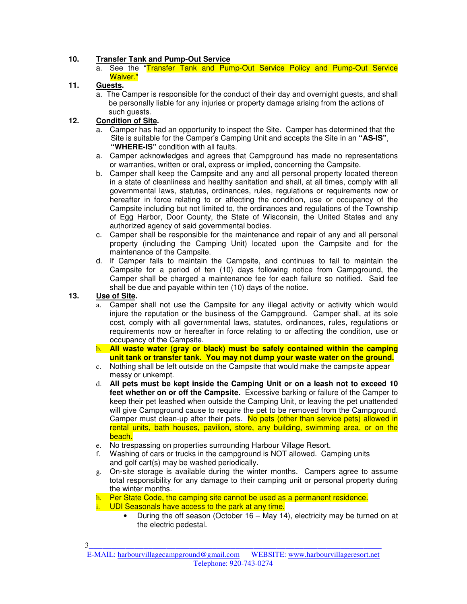#### **10. Transfer Tank and Pump-Out Service**

a. See the "Transfer Tank and Pump-Out Service Policy and Pump-Out Service Waiver."

#### **11. Guests.**

a. The Camper is responsible for the conduct of their day and overnight guests, and shall be personally liable for any injuries or property damage arising from the actions of such guests.

#### **12. Condition of Site.**

- a. Camper has had an opportunity to inspect the Site. Camper has determined that the Site is suitable for the Camper's Camping Unit and accepts the Site in an **"AS-IS"**,  **"WHERE-IS"** condition with all faults.
- a. Camper acknowledges and agrees that Campground has made no representations or warranties, written or oral, express or implied, concerning the Campsite.
- b. Camper shall keep the Campsite and any and all personal property located thereon in a state of cleanliness and healthy sanitation and shall, at all times, comply with all governmental laws, statutes, ordinances, rules, regulations or requirements now or hereafter in force relating to or affecting the condition, use or occupancy of the Campsite including but not limited to, the ordinances and regulations of the Township of Egg Harbor, Door County, the State of Wisconsin, the United States and any authorized agency of said governmental bodies.
- c. Camper shall be responsible for the maintenance and repair of any and all personal property (including the Camping Unit) located upon the Campsite and for the maintenance of the Campsite.
- d. If Camper fails to maintain the Campsite, and continues to fail to maintain the Campsite for a period of ten (10) days following notice from Campground, the Camper shall be charged a maintenance fee for each failure so notified. Said fee shall be due and payable within ten (10) days of the notice.

#### **13. Use of Site.**

- a. Camper shall not use the Campsite for any illegal activity or activity which would injure the reputation or the business of the Campground. Camper shall, at its sole cost, comply with all governmental laws, statutes, ordinances, rules, regulations or requirements now or hereafter in force relating to or affecting the condition, use or occupancy of the Campsite.
- b. **All waste water (gray or black) must be safely contained within the camping unit tank or transfer tank. You may not dump your waste water on the ground.**
- c. Nothing shall be left outside on the Campsite that would make the campsite appear messy or unkempt.
- d. **All pets must be kept inside the Camping Unit or on a leash not to exceed 10 feet whether on or off the Campsite.** Excessive barking or failure of the Camper to keep their pet leashed when outside the Camping Unit, or leaving the pet unattended will give Campground cause to require the pet to be removed from the Campground. Camper must clean-up after their pets. No pets (other than service pets) allowed in rental units, bath houses, pavilion, store, any building, swimming area, or on the beach.
- e. No trespassing on properties surrounding Harbour Village Resort.<br>f. Washing of cars or trucks in the camparound is NOT allowed. Car
- Washing of cars or trucks in the campground is NOT allowed. Camping units and golf cart(s) may be washed periodically.
- g. On-site storage is available during the winter months. Campers agree to assume total responsibility for any damage to their camping unit or personal property during the winter months.
- h. Per State Code, the camping site cannot be used as a permanent residence. i. UDI Seasonals have access to the park at any time.
	- During the off season (October 16 May 14), electricity may be turned on at the electric pedestal.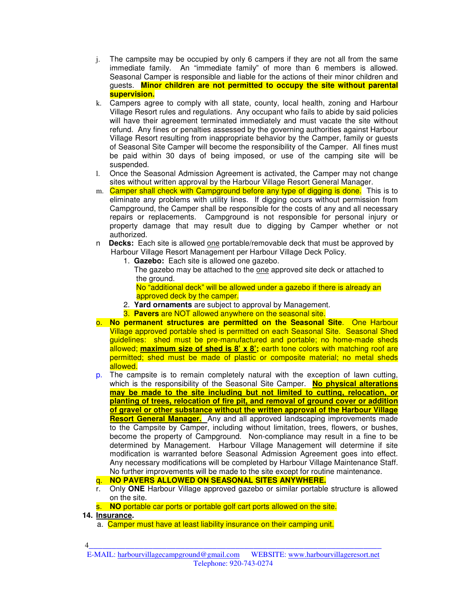- j. The campsite may be occupied by only 6 campers if they are not all from the same immediate family. An "immediate family" of more than 6 members is allowed. Seasonal Camper is responsible and liable for the actions of their minor children and guests. **Minor children are not permitted to occupy the site without parental supervision.**
- k. Campers agree to comply with all state, county, local health, zoning and Harbour Village Resort rules and regulations. Any occupant who fails to abide by said policies will have their agreement terminated immediately and must vacate the site without refund. Any fines or penalties assessed by the governing authorities against Harbour Village Resort resulting from inappropriate behavior by the Camper, family or guests of Seasonal Site Camper will become the responsibility of the Camper. All fines must be paid within 30 days of being imposed, or use of the camping site will be suspended.
- l. Once the Seasonal Admission Agreement is activated, the Camper may not change sites without written approval by the Harbour Village Resort General Manager.
- m. Camper shall check with Campground before any type of digging is done. This is to eliminate any problems with utility lines. If digging occurs without permission from Campground, the Camper shall be responsible for the costs of any and all necessary repairs or replacements. Campground is not responsible for personal injury or property damage that may result due to digging by Camper whether or not authorized.
- n **Decks:** Each site is allowed one portable/removable deck that must be approved by Harbour Village Resort Management per Harbour Village Deck Policy.
	- 1. **Gazebo:** Each site is allowed one gazebo.
		- The gazebo may be attached to the one approved site deck or attached to the ground.

No "additional deck" will be allowed under a gazebo if there is already an approved deck by the camper.

- 2. **Yard ornaments** are subject to approval by Management.
- 3. **Pavers** are NOT allowed anywhere on the seasonal site.
- o. **No permanent structures are permitted on the Seasonal Site**. One Harbour Village approved portable shed is permitted on each Seasonal Site. Seasonal Shed guidelines: shed must be pre-manufactured and portable; no home-made sheds allowed; **maximum size of shed is 8' x 8';** earth tone colors with matching roof are permitted; shed must be made of plastic or composite material; no metal sheds allowed.
- p. The campsite is to remain completely natural with the exception of lawn cutting, which is the responsibility of the Seasonal Site Camper. **No physical alterations may be made to the site including but not limited to cutting, relocation, or planting of trees, relocation of fire pit, and removal of ground cover or addition of gravel or other substance without the written approval of the Harbour Village**  Resort General Manager. Any and all approved landscaping improvements made to the Campsite by Camper, including without limitation, trees, flowers, or bushes, become the property of Campground. Non-compliance may result in a fine to be determined by Management. Harbour Village Management will determine if site modification is warranted before Seasonal Admission Agreement goes into effect. Any necessary modifications will be completed by Harbour Village Maintenance Staff. No further improvements will be made to the site except for routine maintenance.

#### q. **NO PAVERS ALLOWED ON SEASONAL SITES ANYWHERE.**

r. Only **ONE** Harbour Village approved gazebo or similar portable structure is allowed on the site.

#### s. **NO** portable car ports or portable golf cart ports allowed on the site.

- **14. Insurance.**
	- a. Camper must have at least liability insurance on their camping unit.

<sup>4</sup>\_\_\_\_\_\_\_\_\_\_\_\_\_\_\_\_\_\_\_\_\_\_\_\_\_\_\_\_\_\_\_\_\_\_\_\_\_\_\_\_\_\_\_\_\_\_\_\_\_\_\_\_\_\_\_\_\_\_\_\_\_\_\_\_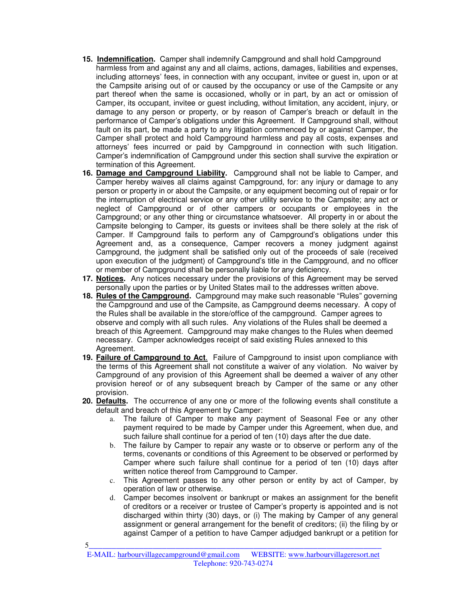- **15. Indemnification.** Camper shall indemnify Campground and shall hold Campground harmless from and against any and all claims, actions, damages, liabilities and expenses, including attorneys' fees, in connection with any occupant, invitee or guest in, upon or at the Campsite arising out of or caused by the occupancy or use of the Campsite or any part thereof when the same is occasioned, wholly or in part, by an act or omission of Camper, its occupant, invitee or guest including, without limitation, any accident, injury, or damage to any person or property, or by reason of Camper's breach or default in the performance of Camper's obligations under this Agreement. If Campground shall, without fault on its part, be made a party to any litigation commenced by or against Camper, the Camper shall protect and hold Campground harmless and pay all costs, expenses and attorneys' fees incurred or paid by Campground in connection with such litigation. Camper's indemnification of Campground under this section shall survive the expiration or termination of this Agreement.
- **16. Damage and Campground Liability.** Campground shall not be liable to Camper, and Camper hereby waives all claims against Campground, for: any injury or damage to any person or property in or about the Campsite, or any equipment becoming out of repair or for the interruption of electrical service or any other utility service to the Campsite; any act or neglect of Campground or of other campers or occupants or employees in the Campground; or any other thing or circumstance whatsoever. All property in or about the Campsite belonging to Camper, its guests or invitees shall be there solely at the risk of Camper. If Campground fails to perform any of Campground's obligations under this Agreement and, as a consequence, Camper recovers a money judgment against Campground, the judgment shall be satisfied only out of the proceeds of sale (received upon execution of the judgment) of Campground's title in the Campground, and no officer or member of Campground shall be personally liable for any deficiency.
- **17. Notices.** Any notices necessary under the provisions of this Agreement may be served personally upon the parties or by United States mail to the addresses written above.
- **18. Rules of the Campground.** Campground may make such reasonable "Rules" governing the Campground and use of the Campsite, as Campground deems necessary. A copy of the Rules shall be available in the store/office of the campground. Camper agrees to observe and comply with all such rules. Any violations of the Rules shall be deemed a breach of this Agreement. Campground may make changes to the Rules when deemed necessary. Camper acknowledges receipt of said existing Rules annexed to this Agreement.
- **19. Failure of Campground to Act**. Failure of Campground to insist upon compliance with the terms of this Agreement shall not constitute a waiver of any violation. No waiver by Campground of any provision of this Agreement shall be deemed a waiver of any other provision hereof or of any subsequent breach by Camper of the same or any other provision.
- **20. Defaults.** The occurrence of any one or more of the following events shall constitute a default and breach of this Agreement by Camper:
	- a. The failure of Camper to make any payment of Seasonal Fee or any other payment required to be made by Camper under this Agreement, when due, and such failure shall continue for a period of ten (10) days after the due date.
	- b. The failure by Camper to repair any waste or to observe or perform any of the terms, covenants or conditions of this Agreement to be observed or performed by Camper where such failure shall continue for a period of ten (10) days after written notice thereof from Campground to Camper.
	- c. This Agreement passes to any other person or entity by act of Camper, by operation of law or otherwise.
	- d. Camper becomes insolvent or bankrupt or makes an assignment for the benefit of creditors or a receiver or trustee of Camper's property is appointed and is not discharged within thirty (30) days, or (i) The making by Camper of any general assignment or general arrangement for the benefit of creditors; (ii) the filing by or against Camper of a petition to have Camper adjudged bankrupt or a petition for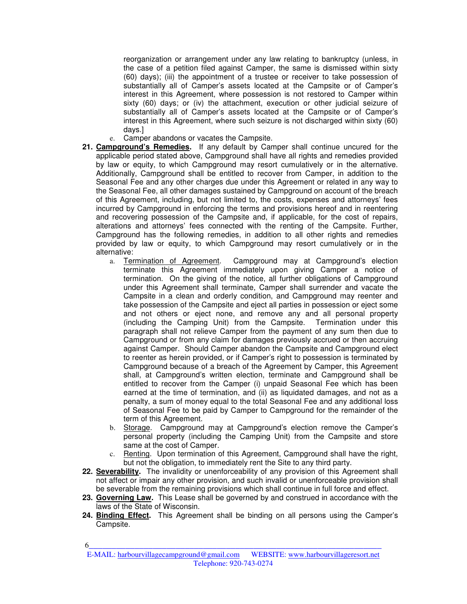reorganization or arrangement under any law relating to bankruptcy (unless, in the case of a petition filed against Camper, the same is dismissed within sixty (60) days); (iii) the appointment of a trustee or receiver to take possession of substantially all of Camper's assets located at the Campsite or of Camper's interest in this Agreement, where possession is not restored to Camper within sixty (60) days; or (iv) the attachment, execution or other judicial seizure of substantially all of Camper's assets located at the Campsite or of Camper's interest in this Agreement, where such seizure is not discharged within sixty (60) days.]

- e. Camper abandons or vacates the Campsite.
- **21. Campground's Remedies.** If any default by Camper shall continue uncured for the applicable period stated above, Campground shall have all rights and remedies provided by law or equity, to which Campground may resort cumulatively or in the alternative. Additionally, Campground shall be entitled to recover from Camper, in addition to the Seasonal Fee and any other charges due under this Agreement or related in any way to the Seasonal Fee, all other damages sustained by Campground on account of the breach of this Agreement, including, but not limited to, the costs, expenses and attorneys' fees incurred by Campground in enforcing the terms and provisions hereof and in reentering and recovering possession of the Campsite and, if applicable, for the cost of repairs, alterations and attorneys' fees connected with the renting of the Campsite. Further, Campground has the following remedies, in addition to all other rights and remedies provided by law or equity, to which Campground may resort cumulatively or in the alternative:<br>a. Termination of Agreement.
	- Campground may at Campground's election terminate this Agreement immediately upon giving Camper a notice of termination. On the giving of the notice, all further obligations of Campground under this Agreement shall terminate, Camper shall surrender and vacate the Campsite in a clean and orderly condition, and Campground may reenter and take possession of the Campsite and eject all parties in possession or eject some and not others or eject none, and remove any and all personal property (including the Camping Unit) from the Campsite. Termination under this paragraph shall not relieve Camper from the payment of any sum then due to Campground or from any claim for damages previously accrued or then accruing against Camper. Should Camper abandon the Campsite and Campground elect to reenter as herein provided, or if Camper's right to possession is terminated by Campground because of a breach of the Agreement by Camper, this Agreement shall, at Campground's written election, terminate and Campground shall be entitled to recover from the Camper (i) unpaid Seasonal Fee which has been earned at the time of termination, and (ii) as liquidated damages, and not as a penalty, a sum of money equal to the total Seasonal Fee and any additional loss of Seasonal Fee to be paid by Camper to Campground for the remainder of the term of this Agreement.
	- b. Storage. Campground may at Campground's election remove the Camper's personal property (including the Camping Unit) from the Campsite and store same at the cost of Camper.
	- c. Renting. Upon termination of this Agreement, Campground shall have the right, but not the obligation, to immediately rent the Site to any third party.
- 22. Severability. The invalidity or unenforceability of any provision of this Agreement shall not affect or impair any other provision, and such invalid or unenforceable provision shall be severable from the remaining provisions which shall continue in full force and effect.
- **23. Governing Law.** This Lease shall be governed by and construed in accordance with the laws of the State of Wisconsin.
- **24. Binding Effect.** This Agreement shall be binding on all persons using the Camper's Campsite.

6\_\_\_\_\_\_\_\_\_\_\_\_\_\_\_\_\_\_\_\_\_\_\_\_\_\_\_\_\_\_\_\_\_\_\_\_\_\_\_\_\_\_\_\_\_\_\_\_\_\_\_\_\_\_\_\_\_\_\_\_\_\_\_\_ E-MAIL: harbourvillagecampground@gmail.com WEBSITE: www.harbourvillageresort.net Telephone: 920-743-0274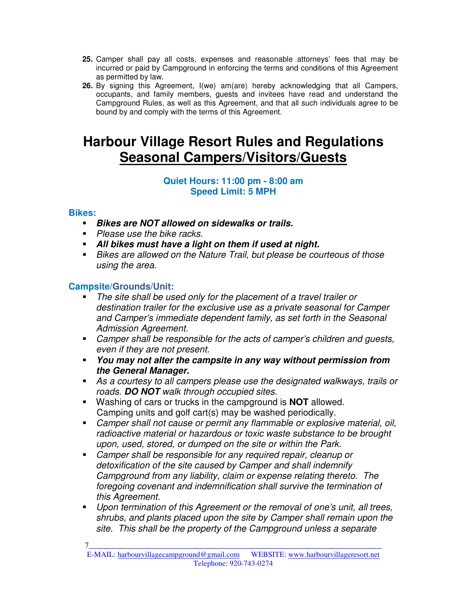- **25.** Camper shall pay all costs, expenses and reasonable attorneys' fees that may be incurred or paid by Campground in enforcing the terms and conditions of this Agreement as permitted by law.
- **26.** By signing this Agreement, I(we) am(are) hereby acknowledging that all Campers, occupants, and family members, guests and invitees have read and understand the Campground Rules, as well as this Agreement, and that all such individuals agree to be bound by and comply with the terms of this Agreement.

# **Harbour Village Resort Rules and Regulations Seasonal Campers/Visitors/Guests**

#### **Quiet Hours: 11:00 pm - 8:00 am Speed Limit: 5 MPH**

### **Bikes:**

- *Bikes are NOT allowed on sidewalks or trails.*
- *Please use the bike racks.*
- *All bikes must have a light on them if used at night.*
- *Bikes are allowed on the Nature Trail, but please be courteous of those using the area.*

# **Campsite/Grounds/Unit:**

- *The site shall be used only for the placement of a travel trailer or destination trailer for the exclusive use as a private seasonal for Camper and Camper's immediate dependent family, as set forth in the Seasonal Admission Agreement.*
- *Camper shall be responsible for the acts of camper's children and guests, even if they are not present.*
- *You may not alter the campsite in any way without permission from the General Manager.*
- *As a courtesy to all campers please use the designated walkways, trails or roads. DO NOT walk through occupied sites.*
- Washing of cars or trucks in the campground is **NOT** allowed. Camping units and golf cart(s) may be washed periodically.
- *Camper shall not cause or permit any flammable or explosive material, oil, radioactive material or hazardous or toxic waste substance to be brought upon, used, stored, or dumped on the site or within the Park.*
- *Camper shall be responsible for any required repair, cleanup or detoxification of the site caused by Camper and shall indemnify Campground from any liability, claim or expense relating thereto. The foregoing covenant and indemnification shall survive the termination of this Agreement.*
- *Upon termination of this Agreement or the removal of one's unit, all trees, shrubs, and plants placed upon the site by Camper shall remain upon the site. This shall be the property of the Campground unless a separate*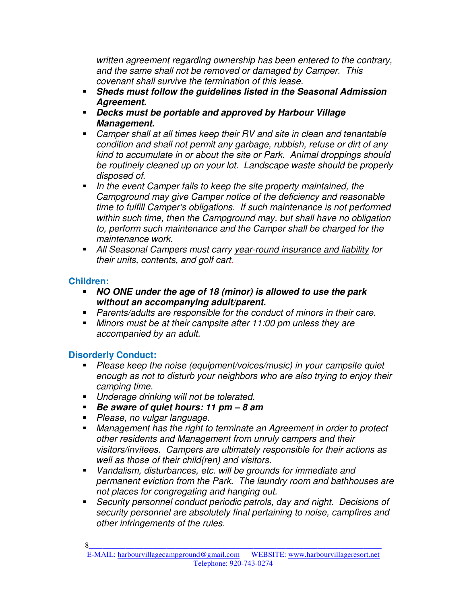*written agreement regarding ownership has been entered to the contrary, and the same shall not be removed or damaged by Camper. This covenant shall survive the termination of this lease.*

- *Sheds must follow the guidelines listed in the Seasonal Admission Agreement.*
- *Decks must be portable and approved by Harbour Village Management.*
- *Camper shall at all times keep their RV and site in clean and tenantable condition and shall not permit any garbage, rubbish, refuse or dirt of any kind to accumulate in or about the site or Park. Animal droppings should be routinely cleaned up on your lot. Landscape waste should be properly disposed of.*
- **I** In the event Camper fails to keep the site property maintained, the *Campground may give Camper notice of the deficiency and reasonable time to fulfill Camper's obligations. If such maintenance is not performed within such time, then the Campground may, but shall have no obligation to, perform such maintenance and the Camper shall be charged for the maintenance work.*
- *All Seasonal Campers must carry year-round insurance and liability for their units, contents, and golf cart.*

### **Children:**

- *NO ONE under the age of 18 (minor) is allowed to use the park without an accompanying adult/parent.*
- *Parents/adults are responsible for the conduct of minors in their care.*
- *Minors must be at their campsite after 11:00 pm unless they are accompanied by an adult.*

# **Disorderly Conduct:**

- *Please keep the noise (equipment/voices/music) in your campsite quiet enough as not to disturb your neighbors who are also trying to enjoy their camping time.*
- *Underage drinking will not be tolerated.*
- *Be aware of quiet hours: 11 pm 8 am*
- *Please, no vulgar language.*
- *Management has the right to terminate an Agreement in order to protect other residents and Management from unruly campers and their visitors/invitees. Campers are ultimately responsible for their actions as well as those of their child(ren) and visitors.*
- *Vandalism, disturbances, etc. will be grounds for immediate and permanent eviction from the Park. The laundry room and bathhouses are not places for congregating and hanging out.*
- *Security personnel conduct periodic patrols, day and night. Decisions of security personnel are absolutely final pertaining to noise, campfires and other infringements of the rules.*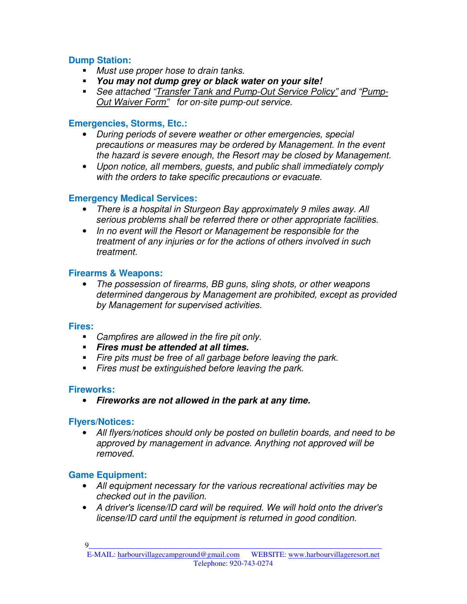### **Dump Station:**

- *Must use proper hose to drain tanks.*
- *You may not dump grey or black water on your site!*
- *See attached "Transfer Tank and Pump-Out Service Policy" and "Pump-Out Waiver Form" for on-site pump-out service.*

### **Emergencies, Storms, Etc.:**

- *During periods of severe weather or other emergencies, special precautions or measures may be ordered by Management. In the event the hazard is severe enough, the Resort may be closed by Management.*
- *Upon notice, all members, guests, and public shall immediately comply with the orders to take specific precautions or evacuate.*

# **Emergency Medical Services:**

- *There is a hospital in Sturgeon Bay approximately 9 miles away. All serious problems shall be referred there or other appropriate facilities.*
- *In no event will the Resort or Management be responsible for the treatment of any injuries or for the actions of others involved in such treatment.*

### **Firearms & Weapons:**

• *The possession of firearms, BB guns, sling shots, or other weapons determined dangerous by Management are prohibited, except as provided by Management for supervised activities.*

### **Fires:**

- *Campfires are allowed in the fire pit only.*
- *Fires must be attended at all times.*
- *Fire pits must be free of all garbage before leaving the park.*
- *Fires must be extinguished before leaving the park.*

#### **Fireworks:**

• *Fireworks are not allowed in the park at any time.*

### **Flyers/Notices:**

• *All flyers/notices should only be posted on bulletin boards, and need to be approved by management in advance. Anything not approved will be removed.*

# **Game Equipment:**

- *All equipment necessary for the various recreational activities may be checked out in the pavilion.*
- *A driver's license/ID card will be required. We will hold onto the driver's license/ID card until the equipment is returned in good condition.*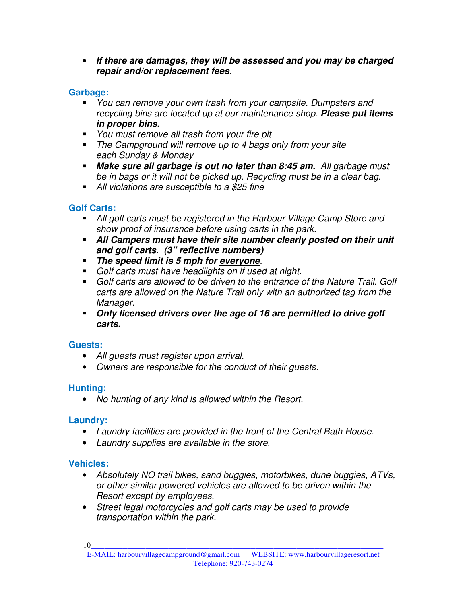• *If there are damages, they will be assessed and you may be charged repair and/or replacement fees.* 

### **Garbage:**

- *You can remove your own trash from your campsite. Dumpsters and recycling bins are located up at our maintenance shop. Please put items in proper bins.*
- *You must remove all trash from your fire pit*
- *The Campground will remove up to 4 bags only from your site each Sunday & Monday*
- *Make sure all garbage is out no later than 8:45 am. All garbage must be in bags or it will not be picked up. Recycling must be in a clear bag.*
- *All violations are susceptible to a \$25 fine*

# **Golf Carts:**

- *All golf carts must be registered in the Harbour Village Camp Store and show proof of insurance before using carts in the park.*
- **All Campers must have their site number clearly posted on their unit** *and golf carts. (3" reflective numbers)*
- *The speed limit is 5 mph for everyone.*
- *Golf carts must have headlights on if used at night.*
- *Golf carts are allowed to be driven to the entrance of the Nature Trail. Golf carts are allowed on the Nature Trail only with an authorized tag from the Manager.*
- *Only licensed drivers over the age of 16 are permitted to drive golf carts.*

### **Guests:**

- *All guests must register upon arrival.*
- *Owners are responsible for the conduct of their guests.*

# **Hunting:**

• *No hunting of any kind is allowed within the Resort.*

# **Laundry:**

- *Laundry facilities are provided in the front of the Central Bath House.*
- *Laundry supplies are available in the store.*

# **Vehicles:**

- *Absolutely NO trail bikes, sand buggies, motorbikes, dune buggies, ATVs, or other similar powered vehicles are allowed to be driven within the Resort except by employees.*
- *Street legal motorcycles and golf carts may be used to provide transportation within the park.*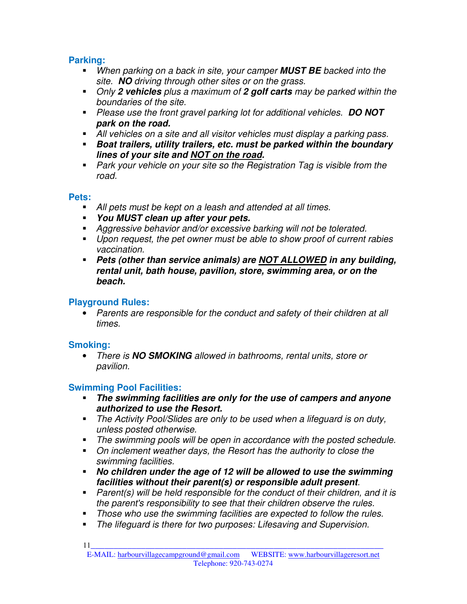# **Parking:**

- *When parking on a back in site, your camper MUST BE backed into the site. NO driving through other sites or on the grass.*
- *Only 2 vehicles plus a maximum of 2 golf carts may be parked within the boundaries of the site.*
- *Please use the front gravel parking lot for additional vehicles. DO NOT park on the road.*
- *All vehicles on a site and all visitor vehicles must display a parking pass.*
- *Boat trailers, utility trailers, etc. must be parked within the boundary lines of your site and NOT on the road.*
- *Park your vehicle on your site so the Registration Tag is visible from the road.*

# **Pets:**

- *All pets must be kept on a leash and attended at all times.*
- *You MUST clean up after your pets.*
- *Aggressive behavior and/or excessive barking will not be tolerated.*
- *Upon request, the pet owner must be able to show proof of current rabies vaccination.*
- *Pets (other than service animals) are NOT ALLOWED in any building, rental unit, bath house, pavilion, store, swimming area, or on the beach.*

# **Playground Rules:**

• *Parents are responsible for the conduct and safety of their children at all times.*

# **Smoking:**

• *There is NO SMOKING allowed in bathrooms, rental units, store or pavilion.*

# **Swimming Pool Facilities:**

- *The swimming facilities are only for the use of campers and anyone authorized to use the Resort.*
- *The Activity Pool/Slides are only to be used when a lifeguard is on duty, unless posted otherwise.*
- *The swimming pools will be open in accordance with the posted schedule.*
- *On inclement weather days, the Resort has the authority to close the swimming facilities.*
- *No children under the age of 12 will be allowed to use the swimming facilities without their parent(s) or responsible adult present.*
- **Parent(s) will be held responsible for the conduct of their children, and it is** *the parent's responsibility to see that their children observe the rules.*
- *Those who use the swimming facilities are expected to follow the rules.*
- *The lifeguard is there for two purposes: Lifesaving and Supervision.*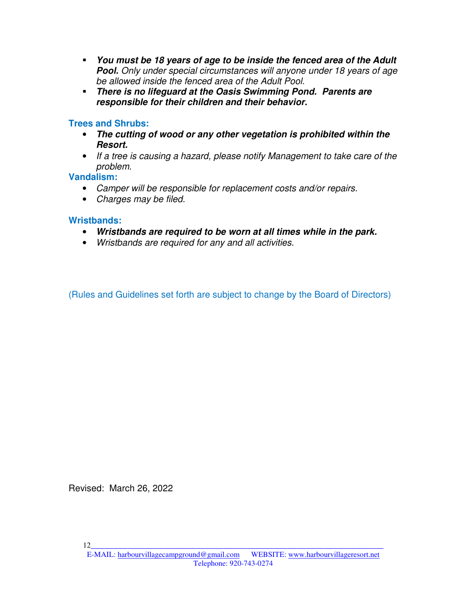- *You must be 18 years of age to be inside the fenced area of the Adult Pool. Only under special circumstances will anyone under 18 years of age be allowed inside the fenced area of the Adult Pool.*
- *There is no lifeguard at the Oasis Swimming Pond. Parents are responsible for their children and their behavior.*

### **Trees and Shrubs:**

- *The cutting of wood or any other vegetation is prohibited within the Resort.*
- *If a tree is causing a hazard, please notify Management to take care of the problem.*

#### **Vandalism:**

- *Camper will be responsible for replacement costs and/or repairs.*
- *Charges may be filed.*

#### **Wristbands:**

- *Wristbands are required to be worn at all times while in the park.*
- *Wristbands are required for any and all activities.*

(Rules and Guidelines set forth are subject to change by the Board of Directors)

Revised: March 26, 2022